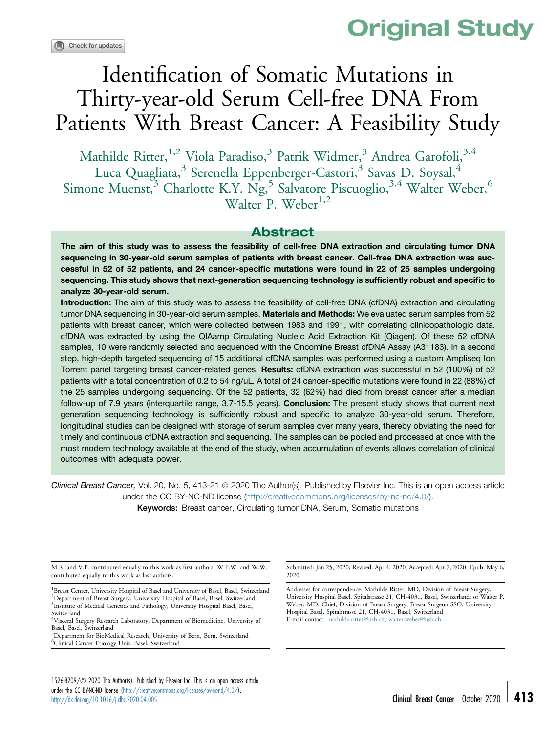# Original Study

# Identification of Somatic Mutations in Thirty-year-old Serum Cell-free DNA From Patients With Breast Cancer: A Feasibility Study

Mathilde Ritter,<sup>1,2</sup> Viola Paradiso,<sup>3</sup> Patrik Widmer,<sup>3</sup> Andrea Garofoli,<sup>3,4</sup> Luca Quagliata,<sup>3</sup> Serenella Eppenberger-Castori,<sup>3</sup> Savas D. Soysal,<sup>4</sup> Simone Muenst,<sup>3</sup> Charlotte K.Y. Ng,<sup>5</sup> Salvatore Piscuoglio,<sup>3,4</sup> Walter Weber,<sup>6</sup> Walter P. Weber<sup>1,2</sup>

#### Abstract

The aim of this study was to assess the feasibility of cell-free DNA extraction and circulating tumor DNA sequencing in 30-year-old serum samples of patients with breast cancer. Cell-free DNA extraction was successful in 52 of 52 patients, and 24 cancer-specific mutations were found in 22 of 25 samples undergoing sequencing. This study shows that next-generation sequencing technology is sufficiently robust and specific to analyze 30-year-old serum.

Introduction: The aim of this study was to assess the feasibility of cell-free DNA (cfDNA) extraction and circulating tumor DNA sequencing in 30-year-old serum samples. Materials and Methods: We evaluated serum samples from 52 patients with breast cancer, which were collected between 1983 and 1991, with correlating clinicopathologic data. cfDNA was extracted by using the QIAamp Circulating Nucleic Acid Extraction Kit (Qiagen). Of these 52 cfDNA samples, 10 were randomly selected and sequenced with the Oncomine Breast cfDNA Assay (A31183). In a second step, high-depth targeted sequencing of 15 additional cfDNA samples was performed using a custom Ampliseq Ion Torrent panel targeting breast cancer-related genes. Results: cfDNA extraction was successful in 52 (100%) of 52 patients with a total concentration of 0.2 to 54 ng/uL. A total of 24 cancer-specific mutations were found in 22 (88%) of the 25 samples undergoing sequencing. Of the 52 patients, 32 (62%) had died from breast cancer after a median follow-up of 7.9 years (interquartile range, 3.7-15.5 years). Conclusion: The present study shows that current next generation sequencing technology is sufficiently robust and specific to analyze 30-year-old serum. Therefore, longitudinal studies can be designed with storage of serum samples over many years, thereby obviating the need for timely and continuous cfDNA extraction and sequencing. The samples can be pooled and processed at once with the most modern technology available at the end of the study, when accumulation of events allows correlation of clinical outcomes with adequate power.

Clinical Breast Cancer, Vol. 20, No. 5, 413-21 © 2020 The Author(s). Published by Elsevier Inc. This is an open access article under the CC BY-NC-ND license [\(http://creativecommons.org/licenses/by-nc-nd/4.0/](http://creativecommons.org/licenses/by-nc-nd/4.0/)). Keywords: Breast cancer, Circulating tumor DNA, Serum, Somatic mutations

M.R. and V.P. contributed equally to this work as first authors. W.P.W. and W.W. contributed equally to this work as last authors.

5 Department for BioMedical Research, University of Bern, Bern, Switzerland 6 Clinical Cancer Etiology Unit, Basel, Switzerland

Submitted: Jan 25, 2020; Revised: Apr 4, 2020; Accepted: Apr 7, 2020; Epub: May 6, 2020

Addresses for correspondence: Mathilde Ritter, MD, Division of Breast Surgery, University Hospital Basel, Spitalstrasse 21, CH-4031, Basel, Switzerland; or Walter P. Weber, MD, Chief, Division of Breast Surgery, Breast Surgeon SSO, University Hospital Basel, Spitalstrasse 21, CH-4031, Basel, Switzerland E-mail contact: [mathilde.ritter@usb.ch;](mailto:mathilde.ritter@usb.ch) [walter.weber@usb.ch](mailto:walter.weber@usb.ch)

1526-8209/<sup>©</sup> 2020 The Author(s). Published by Elsevier Inc. This is an open access article under the CC BY-NC-ND license [\(http://creativecommons.org/licenses/by-nc-nd/4.0/\)](http://creativecommons.org/licenses/by-nc-nd/4.0/).<br>http://dx.doi.org/10.1016/j.dbc.2020.04.005

<sup>&</sup>lt;sup>1</sup>Breast Center, University Hospital of Basel and University of Basel, Basel, Switzerland <sup>2</sup>Department of Breast Surgery, University Hospital of Basel, Basel, Switzerland <sup>3</sup>Institute of Medical Genetics and Pathology, University Hospital Basel, Basel, Switzerland

<sup>4</sup> Visceral Surgery Research Laboratory, Department of Biomedicine, University of Basel, Basel, Switzerland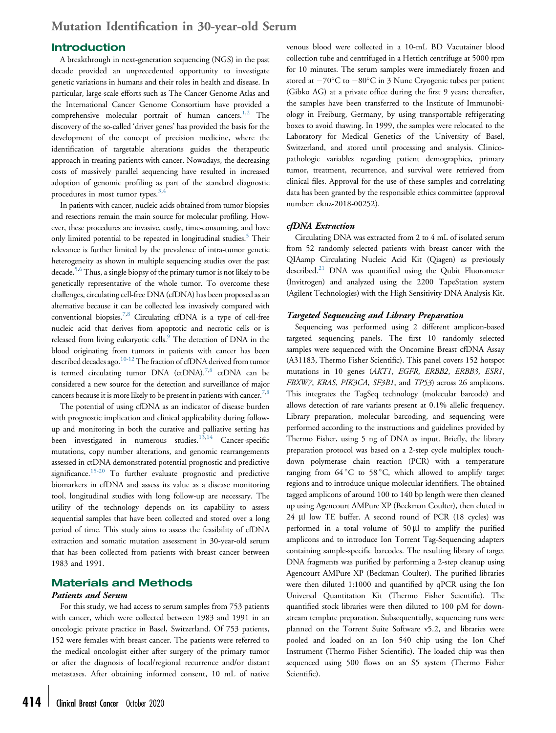#### Introduction

A breakthrough in next-generation sequencing (NGS) in the past decade provided an unprecedented opportunity to investigate genetic variations in humans and their roles in health and disease. In particular, large-scale efforts such as The Cancer Genome Atlas and the International Cancer Genome Consortium have provided a comprehensive molecular portrait of human cancers.<sup>[1,](#page-8-0)[2](#page-8-1)</sup> The discovery of the so-called 'driver genes' has provided the basis for the development of the concept of precision medicine, where the identification of targetable alterations guides the therapeutic approach in treating patients with cancer. Nowadays, the decreasing costs of massively parallel sequencing have resulted in increased adoption of genomic profiling as part of the standard diagnostic procedures in most tumor types.<sup>[3](#page-8-2),[4](#page-8-3)</sup>

In patients with cancer, nucleic acids obtained from tumor biopsies and resections remain the main source for molecular profiling. However, these procedures are invasive, costly, time-consuming, and have only limited potential to be repeated in longitudinal studies.<sup>[5](#page-8-4)</sup> Their relevance is further limited by the prevalence of intra-tumor genetic heterogeneity as shown in multiple sequencing studies over the past decade.[5](#page-8-4)[,6](#page-8-5) Thus, a single biopsy of the primary tumor is not likely to be genetically representative of the whole tumor. To overcome these challenges, circulating cell-free DNA (cfDNA) has been proposed as an alternative because it can be collected less invasively compared with conventional biopsies.<sup>[7](#page-8-6),[8](#page-8-7)</sup> Circulating cfDNA is a type of cell-free nucleic acid that derives from apoptotic and necrotic cells or is released from living eukaryotic cells.<sup>9</sup> The detection of DNA in the blood originating from tumors in patients with cancer has been described decades ago.<sup>10-12</sup> The fraction of cfDNA derived from tumor is termed circulating tumor DNA (ctDNA).<sup>[7](#page-8-6),[8](#page-8-7)</sup> ctDNA can be considered a new source for the detection and surveillance of major cancers because it is more likely to be present in patients with cancer.<sup>[7](#page-8-6),[8](#page-8-7)</sup>

The potential of using cfDNA as an indicator of disease burden with prognostic implication and clinical applicability during followup and monitoring in both the curative and palliative setting has been investigated in numerous studies.<sup>[13,](#page-8-10)[14](#page-8-11)</sup> Cancer-specific mutations, copy number alterations, and genomic rearrangements assessed in ctDNA demonstrated potential prognostic and predictive significance.<sup>[15-20](#page-8-12)</sup> To further evaluate prognostic and predictive biomarkers in cfDNA and assess its value as a disease monitoring tool, longitudinal studies with long follow-up are necessary. The utility of the technology depends on its capability to assess sequential samples that have been collected and stored over a long period of time. This study aims to assess the feasibility of cfDNA extraction and somatic mutation assessment in 30-year-old serum that has been collected from patients with breast cancer between 1983 and 1991.

#### Materials and Methods

#### Patients and Serum

For this study, we had access to serum samples from 753 patients with cancer, which were collected between 1983 and 1991 in an oncologic private practice in Basel, Switzerland. Of 753 patients, 152 were females with breast cancer. The patients were referred to the medical oncologist either after surgery of the primary tumor or after the diagnosis of local/regional recurrence and/or distant metastases. After obtaining informed consent, 10 mL of native

venous blood were collected in a 10-mL BD Vacutainer blood collection tube and centrifuged in a Hettich centrifuge at 5000 rpm for 10 minutes. The serum samples were immediately frozen and stored at  $-70^{\circ}$ C to  $-80^{\circ}$ C in 3 Nunc Cryogenic tubes per patient (Gibko AG) at a private office during the first 9 years; thereafter, the samples have been transferred to the Institute of Immunobiology in Freiburg, Germany, by using transportable refrigerating boxes to avoid thawing. In 1999, the samples were relocated to the Laboratory for Medical Genetics of the University of Basel, Switzerland, and stored until processing and analysis. Clinicopathologic variables regarding patient demographics, primary tumor, treatment, recurrence, and survival were retrieved from clinical files. Approval for the use of these samples and correlating data has been granted by the responsible ethics committee (approval number: eknz-2018-00252).

#### cfDNA Extraction

Circulating DNA was extracted from 2 to 4 mL of isolated serum from 52 randomly selected patients with breast cancer with the QIAamp Circulating Nucleic Acid Kit (Qiagen) as previously described.<sup>[21](#page-8-13)</sup> DNA was quantified using the Qubit Fluorometer (Invitrogen) and analyzed using the 2200 TapeStation system (Agilent Technologies) with the High Sensitivity DNA Analysis Kit.

#### Targeted Sequencing and Library Preparation

Sequencing was performed using 2 different amplicon-based targeted sequencing panels. The first 10 randomly selected samples were sequenced with the Oncomine Breast cfDNA Assay (A31183, Thermo Fisher Scientific). This panel covers 152 hotspot mutations in 10 genes (AKT1, EGFR, ERBB2, ERBB3, ESR1, FBXW7, KRAS, PIK3CA, SF3B1, and TP53) across 26 amplicons. This integrates the TagSeq technology (molecular barcode) and allows detection of rare variants present at 0.1% allelic frequency. Library preparation, molecular barcoding, and sequencing were performed according to the instructions and guidelines provided by Thermo Fisher, using 5 ng of DNA as input. Briefly, the library preparation protocol was based on a 2-step cycle multiplex touchdown polymerase chain reaction (PCR) with a temperature ranging from  $64^{\circ}$ C to  $58^{\circ}$ C, which allowed to amplify target regions and to introduce unique molecular identifiers. The obtained tagged amplicons of around 100 to 140 bp length were then cleaned up using Agencourt AMPure XP (Beckman Coulter), then eluted in 24 µl low TE buffer. A second round of PCR (18 cycles) was performed in a total volume of  $50 \mu l$  to amplify the purified amplicons and to introduce Ion Torrent Tag-Sequencing adapters containing sample-specific barcodes. The resulting library of target DNA fragments was purified by performing a 2-step cleanup using Agencourt AMPure XP (Beckman Coulter). The purified libraries were then diluted 1:1000 and quantified by qPCR using the Ion Universal Quantitation Kit (Thermo Fisher Scientific). The quantified stock libraries were then diluted to 100 pM for downstream template preparation. Subsequentially, sequencing runs were planned on the Torrent Suite Software v5.2, and libraries were pooled and loaded on an Ion 540 chip using the Ion Chef Instrument (Thermo Fisher Scientific). The loaded chip was then sequenced using 500 flows on an S5 system (Thermo Fisher Scientific).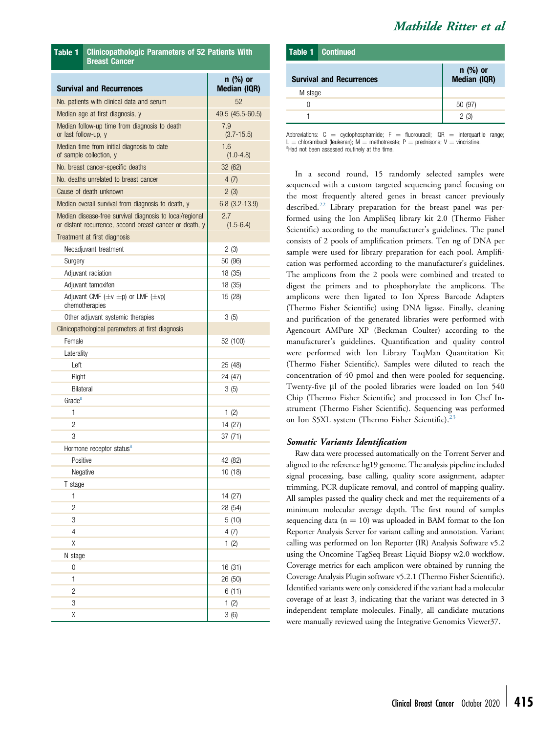| Mathilde Ritter et al |  |  |
|-----------------------|--|--|
|-----------------------|--|--|

<span id="page-2-1"></span>

| Table 1              | <b>Clinicopathologic Parameters of 52 Patients With</b><br><b>Breast Cancer</b>                                     |                                   |  |  |
|----------------------|---------------------------------------------------------------------------------------------------------------------|-----------------------------------|--|--|
|                      | <b>Survival and Recurrences</b>                                                                                     | $n$ (%) or<br><b>Median (IQR)</b> |  |  |
|                      | No. patients with clinical data and serum                                                                           | 52                                |  |  |
|                      | Median age at first diagnosis, y                                                                                    | 49.5 (45.5-60.5)                  |  |  |
| or last follow-up, y | Median follow-up time from diagnosis to death                                                                       | 7.9<br>$(3.7 - 15.5)$             |  |  |
|                      | Median time from initial diagnosis to date<br>of sample collection, y                                               | 1.6<br>$(1.0 - 4.8)$              |  |  |
|                      | No. breast cancer-specific deaths                                                                                   | 32 (62)                           |  |  |
|                      | No. deaths unrelated to breast cancer                                                                               | 4(7)                              |  |  |
|                      | Cause of death unknown                                                                                              | 2(3)                              |  |  |
|                      | Median overall survival from diagnosis to death, y                                                                  | $6.8$ (3.2-13.9)                  |  |  |
|                      | Median disease-free survival diagnosis to local/regional<br>or distant recurrence, second breast cancer or death, y | 2.7<br>$(1.5 - 6.4)$              |  |  |
|                      | Treatment at first diagnosis                                                                                        |                                   |  |  |
|                      | Neoadjuvant treatment                                                                                               | 2(3)                              |  |  |
| Surgery              |                                                                                                                     | 50 (96)                           |  |  |
|                      | Adjuvant radiation                                                                                                  | 18 (35)                           |  |  |
|                      | Adjuvant tamoxifen                                                                                                  | 18 (35)                           |  |  |
|                      | Adjuvant CMF $(\pm v \pm p)$ or LMF $(\pm vp)$<br>chemotherapies                                                    | 15 (28)                           |  |  |
|                      | Other adjuvant systemic therapies                                                                                   | 3(5)                              |  |  |
|                      | Clinicopathological parameters at first diagnosis                                                                   |                                   |  |  |
| Female               |                                                                                                                     | 52 (100)                          |  |  |
| Laterality           |                                                                                                                     |                                   |  |  |
| Left                 |                                                                                                                     | 25 (48)                           |  |  |
| Right                |                                                                                                                     | 24 (47)                           |  |  |
| Bilateral            |                                                                                                                     | 3(5)                              |  |  |
| Grade <sup>a</sup>   |                                                                                                                     |                                   |  |  |
| $\mathbf{1}$         |                                                                                                                     | 1 $(2)$                           |  |  |
| $\overline{c}$       |                                                                                                                     | 14 (27)                           |  |  |
| 3                    |                                                                                                                     | 37 (71)                           |  |  |
|                      | Hormone receptor status <sup>a</sup>                                                                                |                                   |  |  |
| Positive             |                                                                                                                     | 42 (82)                           |  |  |
| Negative             |                                                                                                                     | 10 (18)                           |  |  |
| T stage              |                                                                                                                     |                                   |  |  |
| 1                    |                                                                                                                     | 14 (27)                           |  |  |
| $\overline{c}$       |                                                                                                                     | 28 (54)                           |  |  |
| 3                    |                                                                                                                     | 5(10)                             |  |  |
| $\overline{4}$       |                                                                                                                     | 4(7)                              |  |  |
| Χ                    |                                                                                                                     | 1(2)                              |  |  |
| N stage              |                                                                                                                     |                                   |  |  |
| 0                    |                                                                                                                     | 16 (31)                           |  |  |
| $\mathbf{1}$         |                                                                                                                     | 26 (50)                           |  |  |
| $\overline{c}$       |                                                                                                                     | 6(11)                             |  |  |
| 3                    |                                                                                                                     | 1(2)                              |  |  |
| Χ                    |                                                                                                                     | 3(6)                              |  |  |

|         | <b>Table 1 Continued</b>        |                          |
|---------|---------------------------------|--------------------------|
|         | <b>Survival and Recurrences</b> | n (%) or<br>Median (IQR) |
| M stage |                                 |                          |
| O       |                                 | 50 (97)                  |
|         |                                 | 2(3)                     |

<span id="page-2-0"></span>Abbreviations:  $C =$  cyclophosphamide;  $F =$  fluorouracil; IQR = interquartile range; L = chlorambucil (leukeran); M = methotrexate; P = prednisone; V = vincristine. <sup>a</sup> Had not been assessed routinely at the time.

In a second round, 15 randomly selected samples were sequenced with a custom targeted sequencing panel focusing on the most frequently altered genes in breast cancer previously described.<sup>[22](#page-8-14)</sup> Library preparation for the breast panel was performed using the Ion AmpliSeq library kit 2.0 (Thermo Fisher Scientific) according to the manufacturer's guidelines. The panel consists of 2 pools of amplification primers. Ten ng of DNA per sample were used for library preparation for each pool. Amplification was performed according to the manufacturer's guidelines. The amplicons from the 2 pools were combined and treated to digest the primers and to phosphorylate the amplicons. The amplicons were then ligated to Ion Xpress Barcode Adapters (Thermo Fisher Scientific) using DNA ligase. Finally, cleaning and purification of the generated libraries were performed with Agencourt AMPure XP (Beckman Coulter) according to the manufacturer's guidelines. Quantification and quality control were performed with Ion Library TaqMan Quantitation Kit (Thermo Fisher Scientific). Samples were diluted to reach the concentration of 40 pmol and then were pooled for sequencing. Twenty-five µl of the pooled libraries were loaded on Ion 540 Chip (Thermo Fisher Scientific) and processed in Ion Chef Instrument (Thermo Fisher Scientific). Sequencing was performed on Ion S5XL system (Thermo Fisher Scientific).<sup>[23](#page-8-15)</sup>

#### Somatic Variants Identification

Raw data were processed automatically on the Torrent Server and aligned to the reference hg19 genome. The analysis pipeline included signal processing, base calling, quality score assignment, adapter trimming, PCR duplicate removal, and control of mapping quality. All samples passed the quality check and met the requirements of a minimum molecular average depth. The first round of samples sequencing data ( $n = 10$ ) was uploaded in BAM format to the Ion Reporter Analysis Server for variant calling and annotation. Variant calling was performed on Ion Reporter (IR) Analysis Software v5.2 using the Oncomine TagSeq Breast Liquid Biopsy w2.0 workflow. Coverage metrics for each amplicon were obtained by running the Coverage Analysis Plugin software v5.2.1 (Thermo Fisher Scientific). Identified variants were only considered if the variant had a molecular coverage of at least 3, indicating that the variant was detected in 3 independent template molecules. Finally, all candidate mutations were manually reviewed using the Integrative Genomics Viewer37.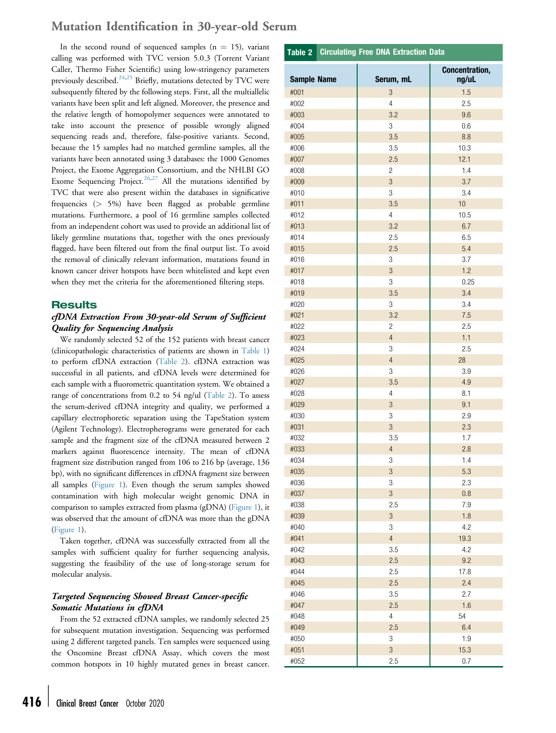### Mutation Identification in 30-year-old Serum

In the second round of sequenced samples ( $n = 15$ ), variant calling was performed with TVC version 5.0.3 (Torrent Variant Caller, Thermo Fisher Scientific) using low-stringency parameters previously described.<sup>[24](#page-8-16)[,25](#page-8-17)</sup> Briefly, mutations detected by TVC were subsequently filtered by the following steps. First, all the multiallelic variants have been split and left aligned. Moreover, the presence and the relative length of homopolymer sequences were annotated to take into account the presence of possible wrongly aligned sequencing reads and, therefore, false-positive variants. Second, because the 15 samples had no matched germline samples, all the variants have been annotated using 3 databases: the 1000 Genomes Project, the Exome Aggregation Consortium, and the NHLBI GO Exome Sequencing Project.<sup>[26](#page-8-18)[,27](#page-8-19)</sup> All the mutations identified by TVC that were also present within the databases in significative frequencies (> 5%) have been flagged as probable germline mutations. Furthermore, a pool of 16 germline samples collected from an independent cohort was used to provide an additional list of likely germline mutations that, together with the ones previously flagged, have been filtered out from the final output list. To avoid the removal of clinically relevant information, mutations found in known cancer driver hotspots have been whitelisted and kept even when they met the criteria for the aforementioned filtering steps.

#### **Results**

#### cfDNA Extraction From 30-year-old Serum of Sufficient Quality for Sequencing Analysis

We randomly selected 52 of the 152 patients with breast cancer (clinicopathologic characteristics of patients are shown in [Table 1](#page-2-1)) to perform cfDNA extraction [\(Table 2\)](#page-3-0). cfDNA extraction was successful in all patients, and cfDNA levels were determined for each sample with a fluorometric quantitation system. We obtained a range of concentrations from 0.2 to 54 ng/ul ([Table 2\)](#page-3-0). To assess the serum-derived cfDNA integrity and quality, we performed a capillary electrophoretic separation using the TapeStation system (Agilent Technology). Electropherograms were generated for each sample and the fragment size of the cfDNA measured between 2 markers against fluorescence intensity. The mean of cfDNA fragment size distribution ranged from 106 to 216 bp (average, 136 bp), with no significant differences in cfDNA fragment size between all samples ([Figure 1](#page-4-0)). Even though the serum samples showed contamination with high molecular weight genomic DNA in comparison to samples extracted from plasma (gDNA) [\(Figure 1\)](#page-4-0), it was observed that the amount of cfDNA was more than the gDNA ([Figure 1](#page-4-0)).

Taken together, cfDNA was successfully extracted from all the samples with sufficient quality for further sequencing analysis, suggesting the feasibility of the use of long-storage serum for molecular analysis.

#### Targeted Sequencing Showed Breast Cancer-specific Somatic Mutations in cfDNA

From the 52 extracted cfDNA samples, we randomly selected 25 for subsequent mutation investigation. Sequencing was performed using 2 different targeted panels. Ten samples were sequenced using the Oncomine Breast cfDNA Assay, which covers the most common hotspots in 10 highly mutated genes in breast cancer.

#### Sample Name | Serum, mL Concentration, ng/uL #001 3 1.5 #002 4 2.5 #003 3.2 9.6 #004 3 0.6 #005 3.5 8.8 #006 3.5 10.3 #007 2.5 12.1 #008 2 1.4 #009 3 3.7 #010 3 3.4 #011 3.5 10 #012 4 10.5 #013 3.2 6.7 #014 2.5 6.5 #015 2.5 5.4 #016 3 3.7 #017 3 1.2 #018 3 0.25 #019 3.5 3.4 #020 3 3.4 #021 3.2 7.5 #022 2 2.5 #023 4 1.1 #024 3 2.5 #025 4 28 #026 3 3.9 #027 3.5 4.9 #028 4 8.1 #029 3 9.1 #030 3 2.9 #031 3 2.3 #032 3.5 1.7 #033 4 2.8 #034 3 1.4 #035 3 5.3 #036 3 2.3 #037 3 0.8 #038 2.5 7.9 #039 3 1.8 #040 3 4.2 #041 4 19.3 #042 3.5 4.2 #043 2.5 9.2 #044 2.5 17.8 #045 2.5 2.4 #046 3.5 2.7 #047 2.5 1.6 #048 4 54 #049 2.5 6.4 #050 3 1.9 #051 3 15.3

#052 2.5 0.7

<span id="page-3-0"></span>Table 2 Circulating Free DNA Extraction Data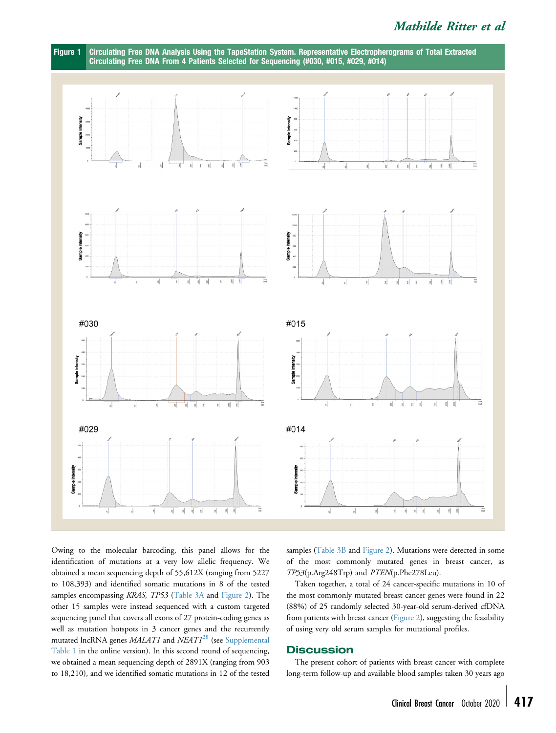## Mathilde Ritter et al

<span id="page-4-0"></span>

Owing to the molecular barcoding, this panel allows for the identification of mutations at a very low allelic frequency. We obtained a mean sequencing depth of 55,612X (ranging from 5227 to 108,393) and identified somatic mutations in 8 of the tested samples encompassing KRAS, TP53 [\(Table 3A](#page-5-0) and [Figure 2\)](#page-6-0). The other 15 samples were instead sequenced with a custom targeted sequencing panel that covers all exons of 27 protein-coding genes as well as mutation hotspots in 3 cancer genes and the recurrently mutated lncRNA genes MALAT1 and NEAT1<sup>[28](#page-8-20)</sup> (see [Supplemental](#page-9-0) [Table 1](#page-9-0) in the online version). In this second round of sequencing, we obtained a mean sequencing depth of 2891X (ranging from 903 to 18,210), and we identified somatic mutations in 12 of the tested

samples ([Table 3B](#page-5-0) and [Figure 2](#page-6-0)). Mutations were detected in some of the most commonly mutated genes in breast cancer, as TP53(p.Arg248Trp) and PTEN(p.Phe278Leu).

Taken together, a total of 24 cancer-specific mutations in 10 of the most commonly mutated breast cancer genes were found in 22 (88%) of 25 randomly selected 30-year-old serum-derived cfDNA from patients with breast cancer [\(Figure 2\)](#page-6-0), suggesting the feasibility of using very old serum samples for mutational profiles.

#### **Discussion**

The present cohort of patients with breast cancer with complete long-term follow-up and available blood samples taken 30 years ago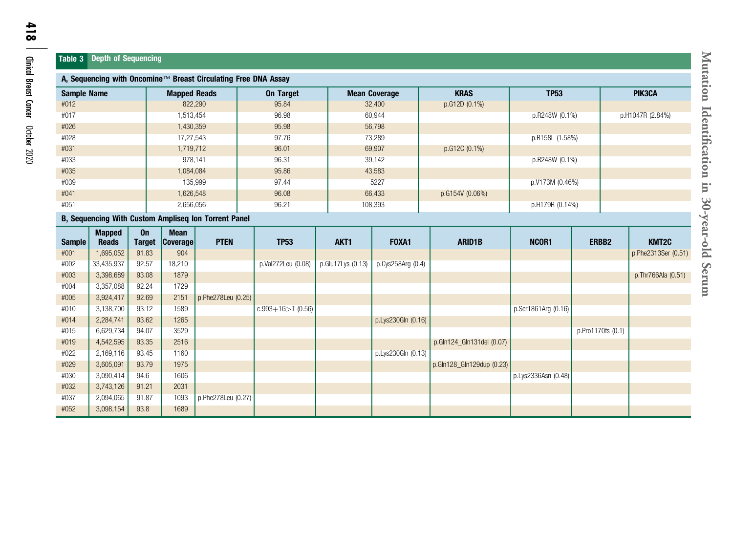#### <span id="page-5-0"></span>Table 3 Depth of Sequencing

| A, Sequencing with Oncomine™ Breast Circulating Free DNA Assay |                               |                     |                                |                    |                       |                   |                      |                           |                     |                   |                     |
|----------------------------------------------------------------|-------------------------------|---------------------|--------------------------------|--------------------|-----------------------|-------------------|----------------------|---------------------------|---------------------|-------------------|---------------------|
| <b>Sample Name</b>                                             |                               |                     | <b>Mapped Reads</b>            |                    | <b>On Target</b>      |                   | <b>Mean Coverage</b> | <b>KRAS</b>               | <b>TP53</b>         |                   | PIK3CA              |
| #012                                                           |                               |                     |                                | 822,290            | 95.84                 |                   | 32,400               | p.G12D (0.1%)             |                     |                   |                     |
| #017                                                           | 1,513,454                     |                     |                                | 96.98              |                       | 60,944            |                      | p.R248W (0.1%)            |                     | p.H1047R (2.84%)  |                     |
| #026                                                           |                               |                     | 1,430,359                      |                    | 95.98                 | 56,798            |                      |                           |                     |                   |                     |
| #028                                                           |                               |                     | 17,27,543                      |                    | 97.76                 | 73,289            |                      |                           | p.R158L (1.58%)     |                   |                     |
| #031<br>1,719,712                                              |                               |                     | 69,907<br>96.01                |                    |                       | p.G12C (0.1%)     |                      |                           |                     |                   |                     |
| #033                                                           | 978,141                       |                     |                                | 96.31              | 39,142                |                   |                      | p.R248W (0.1%)            |                     |                   |                     |
| #035                                                           |                               |                     | 1,084,084                      |                    | 95.86                 |                   | 43,583               |                           |                     |                   |                     |
| #039                                                           |                               |                     |                                | 135,999            | 97.44                 | 5227              |                      |                           | p.V173M (0.46%)     |                   |                     |
| #041<br>1,626,548                                              |                               |                     | 96.08                          | 66,433             |                       | p.G154V (0.06%)   |                      |                           |                     |                   |                     |
| #051<br>2,656,056                                              |                               |                     | 96.21                          | 108,393            |                       |                   | p.H179R (0.14%)      |                           |                     |                   |                     |
| B, Sequencing With Custom Ampliseq Ion Torrent Panel           |                               |                     |                                |                    |                       |                   |                      |                           |                     |                   |                     |
| <b>Sample</b>                                                  | <b>Mapped</b><br><b>Reads</b> | On<br><b>Target</b> | <b>Mean</b><br><b>Coverage</b> | <b>PTEN</b>        | <b>TP53</b>           | AKT1              | FOXA1                | <b>ARID1B</b>             | NCOR1               | ERBB <sub>2</sub> | KMT2C               |
| #001                                                           | 1,695,052                     | 91.83               | 904                            |                    |                       |                   |                      |                           |                     |                   | p.Phe2313Ser (0.51) |
| #002                                                           | 33,435,937                    | 92.57               | 18,210                         |                    | p.Val272Leu (0.08)    | p.Glu17Lys (0.13) | p.Cys258Arg (0.4)    |                           |                     |                   |                     |
| #003                                                           | 3,398,689                     | 93.08               | 1879                           |                    |                       |                   |                      |                           |                     |                   | p.Thr766Ala (0.51)  |
| #004                                                           | 3,357,088                     | 92.24               | 1729                           |                    |                       |                   |                      |                           |                     |                   |                     |
| #005                                                           | 3,924,417                     | 92.69               | 2151                           | p.Phe278Leu (0.25) |                       |                   |                      |                           |                     |                   |                     |
| #010                                                           | 3,138,700                     | 93.12               | 1589                           |                    | $c.993+1G > T$ (0.56) |                   |                      |                           | p.Ser1861Arg (0.16) |                   |                     |
| #014                                                           | 2,284,741                     | 93.62               | 1265                           |                    |                       |                   | p.Lys230Gln (0.16)   |                           |                     |                   |                     |
| #015                                                           | 6,629,734                     | 94.07               | 3529                           |                    |                       |                   |                      |                           |                     | p.Pro1170fs (0.1) |                     |
| #019                                                           | 4,542,595                     | 93.35               | 2516                           |                    |                       |                   |                      | p.Gln124_Gln131del (0.07) |                     |                   |                     |
| #022                                                           | 2,169,116                     | 93.45               | 1160                           |                    |                       |                   | p.Lys230Gln (0.13)   |                           |                     |                   |                     |
| #029                                                           | 3,605,091                     | 93.79               | 1975                           |                    |                       |                   |                      | p.Gln128_Gln129dup (0.23) |                     |                   |                     |
| #030                                                           | 3,090,414                     | 94.6                | 1606                           |                    |                       |                   |                      |                           | p.Lys2336Asn (0.48) |                   |                     |
| #032                                                           | 3,743,126                     | 91.21               | 2031                           |                    |                       |                   |                      |                           |                     |                   |                     |
| #037                                                           | 2,094,065                     | 91.87               | 1093                           | p.Phe278Leu (0.27) |                       |                   |                      |                           |                     |                   |                     |
| #052                                                           | 3,098,154                     | 93.8                | 1689                           |                    |                       |                   |                      |                           |                     |                   |                     |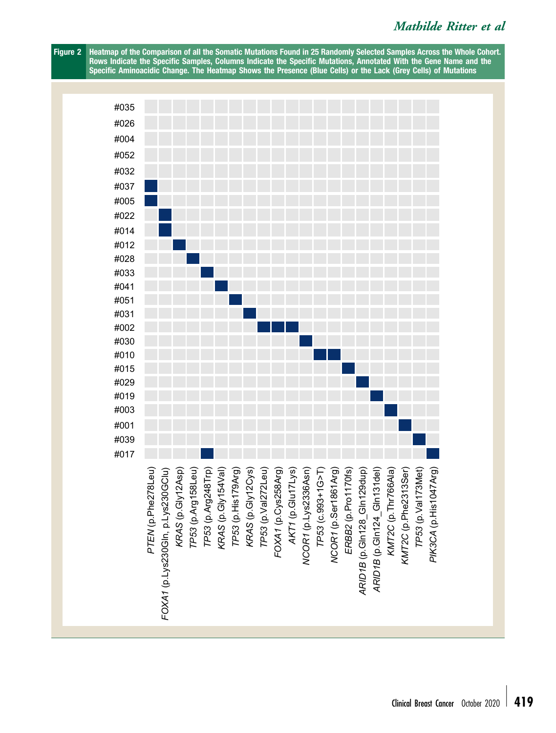## Mathilde Ritter et al

<span id="page-6-0"></span>Figure 2 Heatmap of the Comparison of all the Somatic Mutations Found in 25 Randomly Selected Samples Across the Whole Cohort. Rows Indicate the Specific Samples, Columns Indicate the Specific Mutations, Annotated With the Gene Name and the Specific Aminoacidic Change. The Heatmap Shows the Presence (Blue Cells) or the Lack (Grey Cells) of Mutations

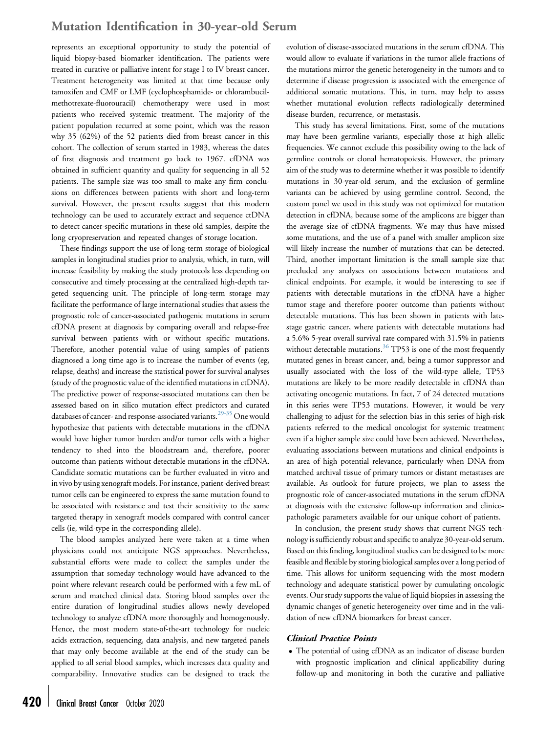### Mutation Identification in 30-year-old Serum

represents an exceptional opportunity to study the potential of liquid biopsy-based biomarker identification. The patients were treated in curative or palliative intent for stage I to IV breast cancer. Treatment heterogeneity was limited at that time because only tamoxifen and CMF or LMF (cyclophosphamide- or chlorambucilmethotrexate-fluorouracil) chemotherapy were used in most patients who received systemic treatment. The majority of the patient population recurred at some point, which was the reason why 35 (62%) of the 52 patients died from breast cancer in this cohort. The collection of serum started in 1983, whereas the dates of first diagnosis and treatment go back to 1967. cfDNA was obtained in sufficient quantity and quality for sequencing in all 52 patients. The sample size was too small to make any firm conclusions on differences between patients with short and long-term survival. However, the present results suggest that this modern technology can be used to accurately extract and sequence ctDNA to detect cancer-specific mutations in these old samples, despite the long cryopreservation and repeated changes of storage location.

These findings support the use of long-term storage of biological samples in longitudinal studies prior to analysis, which, in turn, will increase feasibility by making the study protocols less depending on consecutive and timely processing at the centralized high-depth targeted sequencing unit. The principle of long-term storage may facilitate the performance of large international studies that assess the prognostic role of cancer-associated pathogenic mutations in serum cfDNA present at diagnosis by comparing overall and relapse-free survival between patients with or without specific mutations. Therefore, another potential value of using samples of patients diagnosed a long time ago is to increase the number of events (eg, relapse, deaths) and increase the statistical power for survival analyses (study of the prognostic value of the identified mutations in ctDNA). The predictive power of response-associated mutations can then be assessed based on in silico mutation effect predictors and curated databases of cancer- and response-associated variants.<sup>[29-35](#page-8-21)</sup> One would hypothesize that patients with detectable mutations in the cfDNA would have higher tumor burden and/or tumor cells with a higher tendency to shed into the bloodstream and, therefore, poorer outcome than patients without detectable mutations in the cfDNA. Candidate somatic mutations can be further evaluated in vitro and in vivo by using xenograft models. For instance, patient-derived breast tumor cells can be engineered to express the same mutation found to be associated with resistance and test their sensitivity to the same targeted therapy in xenograft models compared with control cancer cells (ie, wild-type in the corresponding allele).

The blood samples analyzed here were taken at a time when physicians could not anticipate NGS approaches. Nevertheless, substantial efforts were made to collect the samples under the assumption that someday technology would have advanced to the point where relevant research could be performed with a few mL of serum and matched clinical data. Storing blood samples over the entire duration of longitudinal studies allows newly developed technology to analyze cfDNA more thoroughly and homogenously. Hence, the most modern state-of-the-art technology for nucleic acids extraction, sequencing, data analysis, and new targeted panels that may only become available at the end of the study can be applied to all serial blood samples, which increases data quality and comparability. Innovative studies can be designed to track the

evolution of disease-associated mutations in the serum cfDNA. This would allow to evaluate if variations in the tumor allele fractions of the mutations mirror the genetic heterogeneity in the tumors and to determine if disease progression is associated with the emergence of additional somatic mutations. This, in turn, may help to assess whether mutational evolution reflects radiologically determined disease burden, recurrence, or metastasis.

This study has several limitations. First, some of the mutations may have been germline variants, especially those at high allelic frequencies. We cannot exclude this possibility owing to the lack of germline controls or clonal hematopoiesis. However, the primary aim of the study was to determine whether it was possible to identify mutations in 30-year-old serum, and the exclusion of germline variants can be achieved by using germline control. Second, the custom panel we used in this study was not optimized for mutation detection in cfDNA, because some of the amplicons are bigger than the average size of cfDNA fragments. We may thus have missed some mutations, and the use of a panel with smaller amplicon size will likely increase the number of mutations that can be detected. Third, another important limitation is the small sample size that precluded any analyses on associations between mutations and clinical endpoints. For example, it would be interesting to see if patients with detectable mutations in the cfDNA have a higher tumor stage and therefore poorer outcome than patients without detectable mutations. This has been shown in patients with latestage gastric cancer, where patients with detectable mutations had a 5.6% 5-year overall survival rate compared with 31.5% in patients without detectable mutations.<sup>[36](#page-8-22)</sup> TP53 is one of the most frequently mutated genes in breast cancer, and, being a tumor suppressor and usually associated with the loss of the wild-type allele, TP53 mutations are likely to be more readily detectable in cfDNA than activating oncogenic mutations. In fact, 7 of 24 detected mutations in this series were TP53 mutations. However, it would be very challenging to adjust for the selection bias in this series of high-risk patients referred to the medical oncologist for systemic treatment even if a higher sample size could have been achieved. Nevertheless, evaluating associations between mutations and clinical endpoints is an area of high potential relevance, particularly when DNA from matched archival tissue of primary tumors or distant metastases are available. As outlook for future projects, we plan to assess the prognostic role of cancer-associated mutations in the serum cfDNA at diagnosis with the extensive follow-up information and clinicopathologic parameters available for our unique cohort of patients.

In conclusion, the present study shows that current NGS technology is sufficiently robust and specific to analyze 30-year-old serum. Based on this finding, longitudinal studies can be designed to be more feasible and flexible by storing biological samples over a long period of time. This allows for uniform sequencing with the most modern technology and adequate statistical power by cumulating oncologic events. Our study supports the value of liquid biopsies in assessing the dynamic changes of genetic heterogeneity over time and in the validation of new cfDNA biomarkers for breast cancer.

#### Clinical Practice Points

 The potential of using cfDNA as an indicator of disease burden with prognostic implication and clinical applicability during follow-up and monitoring in both the curative and palliative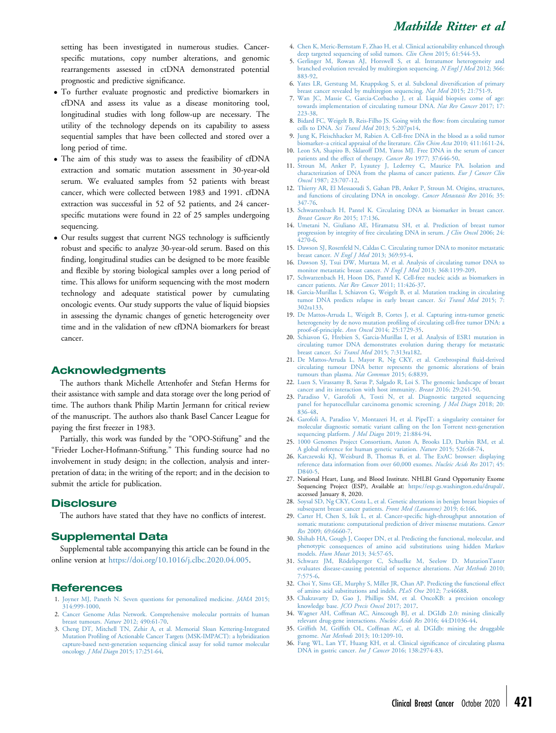setting has been investigated in numerous studies. Cancerspecific mutations, copy number alterations, and genomic rearrangements assessed in ctDNA demonstrated potential prognostic and predictive significance.

- To further evaluate prognostic and predictive biomarkers in cfDNA and assess its value as a disease monitoring tool, longitudinal studies with long follow-up are necessary. The utility of the technology depends on its capability to assess sequential samples that have been collected and stored over a long period of time.
- The aim of this study was to assess the feasibility of cfDNA extraction and somatic mutation assessment in 30-year-old serum. We evaluated samples from 52 patients with breast cancer, which were collected between 1983 and 1991. cfDNA extraction was successful in 52 of 52 patients, and 24 cancerspecific mutations were found in 22 of 25 samples undergoing sequencing.
- Our results suggest that current NGS technology is sufficiently robust and specific to analyze 30-year-old serum. Based on this finding, longitudinal studies can be designed to be more feasible and flexible by storing biological samples over a long period of time. This allows for uniform sequencing with the most modern technology and adequate statistical power by cumulating oncologic events. Our study supports the value of liquid biopsies in assessing the dynamic changes of genetic heterogeneity over time and in the validation of new cfDNA biomarkers for breast cancer.

#### Acknowledgments

The authors thank Michelle Attenhofer and Stefan Herms for their assistance with sample and data storage over the long period of time. The authors thank Philip Martin Jermann for critical review of the manuscript. The authors also thank Basel Cancer League for paying the first freezer in 1983.

Partially, this work was funded by the "OPO-Stiftung" and the "Frieder Locher-Hofmann-Stiftung." This funding source had no involvement in study design; in the collection, analysis and interpretation of data; in the writing of the report; and in the decision to submit the article for publication.

#### **Disclosure**

The authors have stated that they have no conflicts of interest.

#### Supplemental Data

Supplemental table accompanying this article can be found in the online version at [https://doi.org/10.1016/j.clbc.2020.04.005.](http://dx.doi.org/10.1016/j.clbc.2020.04.005)

#### References

- <span id="page-8-0"></span>1. [Joyner MJ, Paneth N. Seven questions for personalized medicine.](http://refhub.elsevier.com/S1526-8209(20)30083-5/sref1) JAMA 2015; [314:999-1000.](http://refhub.elsevier.com/S1526-8209(20)30083-5/sref1)
- <span id="page-8-1"></span>2. [Cancer Genome Atlas Network. Comprehensive molecular portraits of human](http://refhub.elsevier.com/S1526-8209(20)30083-5/sref2) breast tumours. Nature [2012; 490:61-70](http://refhub.elsevier.com/S1526-8209(20)30083-5/sref2).
- <span id="page-8-2"></span>3. [Cheng DT, Mitchell TN, Zehir A, et al. Memorial Sloan Kettering-Integrated](http://refhub.elsevier.com/S1526-8209(20)30083-5/sref3) Mutation Profi[ling of Actionable Cancer Targets \(MSK-IMPACT\): a hybridization](http://refhub.elsevier.com/S1526-8209(20)30083-5/sref3) [capture-based next-generation sequencing clinical assay for solid tumor molecular](http://refhub.elsevier.com/S1526-8209(20)30083-5/sref3) oncology. J Mol Diagn [2015; 17:251-64.](http://refhub.elsevier.com/S1526-8209(20)30083-5/sref3)
- <span id="page-8-3"></span>4. [Chen K, Meric-Bernstam F, Zhao H, et al. Clinical actionability enhanced through](http://refhub.elsevier.com/S1526-8209(20)30083-5/sref4) [deep targeted sequencing of solid tumors.](http://refhub.elsevier.com/S1526-8209(20)30083-5/sref4) Clin Chem 2015; 61:544-53.
- <span id="page-8-4"></span>5. [Gerlinger M, Rowan AJ, Horswell S, et al. Intratumor heterogeneity and](http://refhub.elsevier.com/S1526-8209(20)30083-5/sref5) [branched evolution revealed by multiregion sequencing.](http://refhub.elsevier.com/S1526-8209(20)30083-5/sref5) N Engl J Med 2012; 366: [883-92.](http://refhub.elsevier.com/S1526-8209(20)30083-5/sref5)
- <span id="page-8-5"></span>6. [Yates LR, Gerstung M, Knappskog S, et al. Subclonal diversi](http://refhub.elsevier.com/S1526-8209(20)30083-5/sref6)fication of primary [breast cancer revealed by multiregion sequencing.](http://refhub.elsevier.com/S1526-8209(20)30083-5/sref6) *Nat Med* 2015; 21:751-9.<br>7. [Wan JC, Massie C, Garcia-Corbacho J, et al. Liquid biopsies come of age:](http://refhub.elsevier.com/S1526-8209(20)30083-5/sref7)
- <span id="page-8-6"></span>[towards implementation of circulating tumour DNA.](http://refhub.elsevier.com/S1526-8209(20)30083-5/sref7) Nat Rev Cancer 2017; 17: [223-38.](http://refhub.elsevier.com/S1526-8209(20)30083-5/sref7)
- <span id="page-8-7"></span>8. [Bidard FC, Weigelt B, Reis-Filho JS. Going with the](http://refhub.elsevier.com/S1526-8209(20)30083-5/sref8) flow: from circulating tumor cells to DNA. Sci Transl Med [2013; 5:207ps14](http://refhub.elsevier.com/S1526-8209(20)30083-5/sref8).
- <span id="page-8-8"></span>9. [Jung K, Fleischhacker M, Rabien A. Cell-free DNA in the blood as a solid tumor](http://refhub.elsevier.com/S1526-8209(20)30083-5/sref9) biomarker-[a critical appraisal of the literature.](http://refhub.elsevier.com/S1526-8209(20)30083-5/sref9) Clin Chim Acta 2010; 411:1611-24.
- <span id="page-8-9"></span>10. [Leon SA, Shapiro B, Sklaroff DM, Yaros MJ. Free DNA in the serum of cancer](http://refhub.elsevier.com/S1526-8209(20)30083-5/sref10) [patients and the effect of therapy.](http://refhub.elsevier.com/S1526-8209(20)30083-5/sref10) Cancer Res 1977; 37:646-50.
- 11. [Stroun M, Anker P, Lyautey J, Lederrey C, Maurice PA. Isolation and](http://refhub.elsevier.com/S1526-8209(20)30083-5/sref11) [characterization of DNA from the plasma of cancer patients.](http://refhub.elsevier.com/S1526-8209(20)30083-5/sref11) Eur J Cancer Clin Oncol [1987; 23:707-12.](http://refhub.elsevier.com/S1526-8209(20)30083-5/sref11)
- 12. [Thierry AR, El Messaoudi S, Gahan PB, Anker P, Stroun M. Origins, structures,](http://refhub.elsevier.com/S1526-8209(20)30083-5/sref12) [and functions of circulating DNA in oncology.](http://refhub.elsevier.com/S1526-8209(20)30083-5/sref12) Cancer Metastasis Rev 2016; 35: [347-76](http://refhub.elsevier.com/S1526-8209(20)30083-5/sref12).
- <span id="page-8-10"></span>13. [Schwarzenbach H, Pantel K. Circulating DNA as biomarker in breast cancer.](http://refhub.elsevier.com/S1526-8209(20)30083-5/sref13) [Breast Cancer Res](http://refhub.elsevier.com/S1526-8209(20)30083-5/sref13) 2015; 17:136.
- <span id="page-8-11"></span>14. [Umetani N, Giuliano AE, Hiramatsu SH, et al. Prediction of breast tumor](http://refhub.elsevier.com/S1526-8209(20)30083-5/sref14) [progression by integrity of free circulating DNA in serum.](http://refhub.elsevier.com/S1526-8209(20)30083-5/sref14) *J Clin Oncol* 2006; 24: [4270-6](http://refhub.elsevier.com/S1526-8209(20)30083-5/sref14).
- <span id="page-8-12"></span>15. [Dawson SJ, Rosenfeld N, Caldas C. Circulating tumor DNA to monitor metastatic](http://refhub.elsevier.com/S1526-8209(20)30083-5/sref15) breast cancer. [N Engl J Med](http://refhub.elsevier.com/S1526-8209(20)30083-5/sref15) 2013; 369:93-4.
- 16. [Dawson SJ, Tsui DW, Murtaza M, et al. Analysis of circulating tumor DNA to](http://refhub.elsevier.com/S1526-8209(20)30083-5/sref16) [monitor metastatic breast cancer.](http://refhub.elsevier.com/S1526-8209(20)30083-5/sref16) N Engl J Med 2013; 368:1199-209.
- 17. [Schwarzenbach H, Hoon DS, Pantel K. Cell-free nucleic acids as biomarkers in](http://refhub.elsevier.com/S1526-8209(20)30083-5/sref17) cancer patients. Nat Rev Cancer [2011; 11:426-37.](http://refhub.elsevier.com/S1526-8209(20)30083-5/sref17)
- 18. [Garcia-Murillas I, Schiavon G, Weigelt B, et al. Mutation tracking in circulating](http://refhub.elsevier.com/S1526-8209(20)30083-5/sref18) [tumor DNA predicts relapse in early breast cancer.](http://refhub.elsevier.com/S1526-8209(20)30083-5/sref18) Sci Transl Med 2015; 7: [302ra133.](http://refhub.elsevier.com/S1526-8209(20)30083-5/sref18)
- 19. [De Mattos-Arruda L, Weigelt B, Cortes J, et al. Capturing intra-tumor genetic](http://refhub.elsevier.com/S1526-8209(20)30083-5/sref19) heterogeneity by de novo mutation profi[ling of circulating cell-free tumor DNA: a](http://refhub.elsevier.com/S1526-8209(20)30083-5/sref19) proof-of-principle. Ann Oncol [2014; 25:1729-35](http://refhub.elsevier.com/S1526-8209(20)30083-5/sref19).
- 20. [Schiavon G, Hrebien S, Garcia-Murillas I, et al. Analysis of ESR1 mutation in](http://refhub.elsevier.com/S1526-8209(20)30083-5/sref20) [circulating tumor DNA demonstrates evolution during therapy for metastatic](http://refhub.elsevier.com/S1526-8209(20)30083-5/sref20) breast cancer. Sci Transl Med [2015; 7:313ra182.](http://refhub.elsevier.com/S1526-8209(20)30083-5/sref20)
- <span id="page-8-13"></span>21. [De Mattos-Arruda L, Mayor R, Ng CKY, et al. Cerebrospinal](http://refhub.elsevier.com/S1526-8209(20)30083-5/sref21) fluid-derived [circulating tumour DNA better represents the genomic alterations of brain](http://refhub.elsevier.com/S1526-8209(20)30083-5/sref21) [tumours than plasma.](http://refhub.elsevier.com/S1526-8209(20)30083-5/sref21) Nat Commun 2015; 6:8839.
- <span id="page-8-14"></span>22. [Luen S, Virassamy B, Savas P, Salgado R, Loi S. The genomic landscape of breast](http://refhub.elsevier.com/S1526-8209(20)30083-5/sref22) [cancer and its interaction with host immunity.](http://refhub.elsevier.com/S1526-8209(20)30083-5/sref22) *Breast* 2016; 29:241-50.<br>
23. [Paradiso V, Garofoli A, Tosti N, et al. Diagnostic targeted sequencing](http://refhub.elsevier.com/S1526-8209(20)30083-5/sref23)
- <span id="page-8-15"></span>[panel for hepatocellular carcinoma genomic screening.](http://refhub.elsevier.com/S1526-8209(20)30083-5/sref23) J Mol Diagn 2018; 20: [836-48](http://refhub.elsevier.com/S1526-8209(20)30083-5/sref23).
- <span id="page-8-16"></span>24. [Garofoli A, Paradiso V, Montazeri H, et al. PipeIT: a singularity container for](http://refhub.elsevier.com/S1526-8209(20)30083-5/sref24) [molecular diagnostic somatic variant calling on the Ion Torrent next-generation](http://refhub.elsevier.com/S1526-8209(20)30083-5/sref24) [sequencing platform.](http://refhub.elsevier.com/S1526-8209(20)30083-5/sref24) *J Mol Diagn* 2019; 21:884-94.
- <span id="page-8-17"></span>25. [1000 Genomes Project Consortium, Auton A, Brooks LD, Durbin RM, et al.](http://refhub.elsevier.com/S1526-8209(20)30083-5/sref25) [A global reference for human genetic variation.](http://refhub.elsevier.com/S1526-8209(20)30083-5/sref25) Nature 2015; 526:68-74.
- <span id="page-8-18"></span>26. [Karczewski KJ, Weisburd B, Thomas B, et al. The ExAC browser: displaying](http://refhub.elsevier.com/S1526-8209(20)30083-5/sref26) [reference data information from over 60,000 exomes.](http://refhub.elsevier.com/S1526-8209(20)30083-5/sref26) Nucleic Acids Res 2017; 45: [D840-5](http://refhub.elsevier.com/S1526-8209(20)30083-5/sref26).
- <span id="page-8-19"></span>27. National Heart, Lung, and Blood Institute. NHLBI Grand Opportunity Exome Sequencing Project (ESP), Available at: <https://esp.gs.washington.edu/drupal/>. accessed January 8, 2020.
- <span id="page-8-20"></span>28. [Soysal SD, Ng CKY, Costa L, et al. Genetic alterations in benign breast biopsies of](http://refhub.elsevier.com/S1526-8209(20)30083-5/sref28) [subsequent breast cancer patients.](http://refhub.elsevier.com/S1526-8209(20)30083-5/sref28) Front Med (Lausanne) 2019; 6:166.<br>29. [Carter H, Chen S, Isik L, et al. Cancer-speci](http://refhub.elsevier.com/S1526-8209(20)30083-5/sref29)fic high-throughput annotation of
- <span id="page-8-21"></span>[somatic mutations: computational prediction of driver missense mutations.](http://refhub.elsevier.com/S1526-8209(20)30083-5/sref29) Cancer Res [2009; 69:6660-7.](http://refhub.elsevier.com/S1526-8209(20)30083-5/sref29)
- 30. [Shihab HA, Gough J, Cooper DN, et al. Predicting the functional, molecular, and](http://refhub.elsevier.com/S1526-8209(20)30083-5/sref30) phenotypic [consequences of amino acid substitutions using hidden Markov](http://refhub.elsevier.com/S1526-8209(20)30083-5/sref30) models. Hum Mutat [2013; 34:57-65.](http://refhub.elsevier.com/S1526-8209(20)30083-5/sref30)
- 31. [Schwarz JM, Rödelsperger C, Schuelke M, Seelow D. MutationTaster](http://refhub.elsevier.com/S1526-8209(20)30083-5/sref31) [evaluates disease-causing potential of sequence alterations.](http://refhub.elsevier.com/S1526-8209(20)30083-5/sref31) Nat Methods 2010; [7:575-6.](http://refhub.elsevier.com/S1526-8209(20)30083-5/sref31)
- 32. [Choi Y, Sims GE, Murphy S, Miller JR, Chan AP. Predicting the functional effect](http://refhub.elsevier.com/S1526-8209(20)30083-5/sref32) [of amino acid substitutions and indels.](http://refhub.elsevier.com/S1526-8209(20)30083-5/sref32) PLoS One 2012; 7:e46688.
- 33. [Chakravarty D, Gao J, Phillips SM, et al. OncoKB: a precision oncology](http://refhub.elsevier.com/S1526-8209(20)30083-5/sref33) knowledge base. [JCO Precis Oncol](http://refhub.elsevier.com/S1526-8209(20)30083-5/sref33) 2017; 2017.
- 34. [Wagner AH, Coffman AC, Ainscough BJ, et al. DGIdb 2.0: mining clinically](http://refhub.elsevier.com/S1526-8209(20)30083-5/sref34) [relevant drug-gene interactions.](http://refhub.elsevier.com/S1526-8209(20)30083-5/sref34) Nucleic Acids Res 2016; 44:D1036-44.
- 35. Griffith M, Griffi[th OL, Coffman AC, et al. DGIdb: mining the druggable](http://refhub.elsevier.com/S1526-8209(20)30083-5/sref35) genome. Nat Methods [2013; 10:1209-10.](http://refhub.elsevier.com/S1526-8209(20)30083-5/sref35)
- <span id="page-8-22"></span>36. [Fang WL, Lan YT, Huang KH, et al. Clinical signi](http://refhub.elsevier.com/S1526-8209(20)30083-5/sref36)ficance of circulating plasma [DNA in gastric cancer.](http://refhub.elsevier.com/S1526-8209(20)30083-5/sref36) Int J Cancer 2016; 138:2974-83.